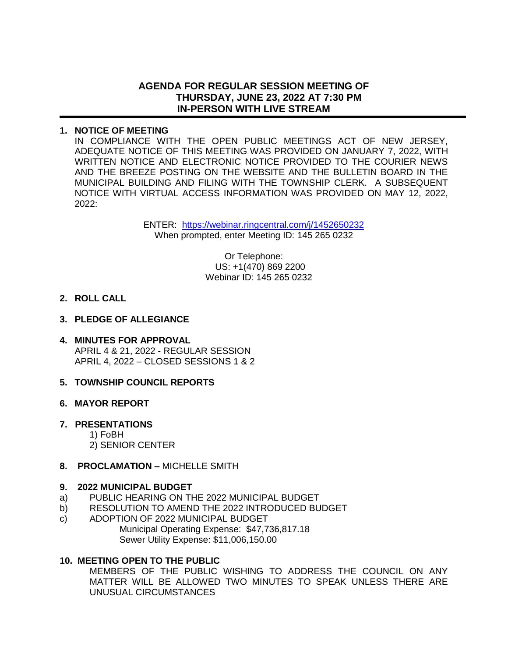# **AGENDA FOR REGULAR SESSION MEETING OF THURSDAY, JUNE 23, 2022 AT 7:30 PM IN-PERSON WITH LIVE STREAM**

## **1. NOTICE OF MEETING**

IN COMPLIANCE WITH THE OPEN PUBLIC MEETINGS ACT OF NEW JERSEY, ADEQUATE NOTICE OF THIS MEETING WAS PROVIDED ON JANUARY 7, 2022, WITH WRITTEN NOTICE AND ELECTRONIC NOTICE PROVIDED TO THE COURIER NEWS AND THE BREEZE POSTING ON THE WEBSITE AND THE BULLETIN BOARD IN THE MUNICIPAL BUILDING AND FILING WITH THE TOWNSHIP CLERK. A SUBSEQUENT NOTICE WITH VIRTUAL ACCESS INFORMATION WAS PROVIDED ON MAY 12, 2022, 2022:

> ENTER: <https://webinar.ringcentral.com/j/1452650232> When prompted, enter Meeting ID: 145 265 0232

> > Or Telephone: US: +1(470) 869 2200 Webinar ID: 145 265 0232

### **2. ROLL CALL**

### **3. PLEDGE OF ALLEGIANCE**

**4. MINUTES FOR APPROVAL** APRIL 4 & 21, 2022 - REGULAR SESSION APRIL 4, 2022 – CLOSED SESSIONS 1 & 2

## **5. TOWNSHIP COUNCIL REPORTS**

#### **6. MAYOR REPORT**

## **7. PRESENTATIONS**

1) FoBH

2) SENIOR CENTER

#### **8. PROCLAMATION –** MICHELLE SMITH

#### **9. 2022 MUNICIPAL BUDGET**

- a) PUBLIC HEARING ON THE 2022 MUNICIPAL BUDGET
- b) RESOLUTION TO AMEND THE 2022 INTRODUCED BUDGET
- c) ADOPTION OF 2022 MUNICIPAL BUDGET Municipal Operating Expense: \$47,736,817.18 Sewer Utility Expense: \$11,006,150.00

#### **10. MEETING OPEN TO THE PUBLIC**

MEMBERS OF THE PUBLIC WISHING TO ADDRESS THE COUNCIL ON ANY MATTER WILL BE ALLOWED TWO MINUTES TO SPEAK UNLESS THERE ARE UNUSUAL CIRCUMSTANCES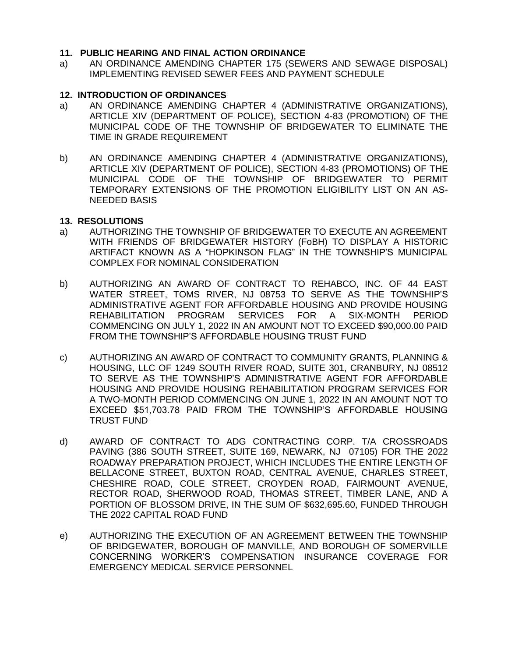### **11. PUBLIC HEARING AND FINAL ACTION ORDINANCE**

a) AN ORDINANCE AMENDING CHAPTER 175 (SEWERS AND SEWAGE DISPOSAL) IMPLEMENTING REVISED SEWER FEES AND PAYMENT SCHEDULE

### **12. INTRODUCTION OF ORDINANCES**

- a) AN ORDINANCE AMENDING CHAPTER 4 (ADMINISTRATIVE ORGANIZATIONS), ARTICLE XIV (DEPARTMENT OF POLICE), SECTION 4-83 (PROMOTION) OF THE MUNICIPAL CODE OF THE TOWNSHIP OF BRIDGEWATER TO ELIMINATE THE TIME IN GRADE REQUIREMENT
- b) AN ORDINANCE AMENDING CHAPTER 4 (ADMINISTRATIVE ORGANIZATIONS), ARTICLE XIV (DEPARTMENT OF POLICE), SECTION 4-83 (PROMOTIONS) OF THE MUNICIPAL CODE OF THE TOWNSHIP OF BRIDGEWATER TO PERMIT TEMPORARY EXTENSIONS OF THE PROMOTION ELIGIBILITY LIST ON AN AS-NEEDED BASIS

#### **13. RESOLUTIONS**

- a) AUTHORIZING THE TOWNSHIP OF BRIDGEWATER TO EXECUTE AN AGREEMENT WITH FRIENDS OF BRIDGEWATER HISTORY (FoBH) TO DISPLAY A HISTORIC ARTIFACT KNOWN AS A "HOPKINSON FLAG" IN THE TOWNSHIP'S MUNICIPAL COMPLEX FOR NOMINAL CONSIDERATION
- b) AUTHORIZING AN AWARD OF CONTRACT TO REHABCO, INC. OF 44 EAST WATER STREET, TOMS RIVER, NJ 08753 TO SERVE AS THE TOWNSHIP'S ADMINISTRATIVE AGENT FOR AFFORDABLE HOUSING AND PROVIDE HOUSING REHABILITATION PROGRAM SERVICES FOR A SIX-MONTH PERIOD COMMENCING ON JULY 1, 2022 IN AN AMOUNT NOT TO EXCEED \$90,000.00 PAID FROM THE TOWNSHIP'S AFFORDABLE HOUSING TRUST FUND
- c) AUTHORIZING AN AWARD OF CONTRACT TO COMMUNITY GRANTS, PLANNING & HOUSING, LLC OF 1249 SOUTH RIVER ROAD, SUITE 301, CRANBURY, NJ 08512 TO SERVE AS THE TOWNSHIP'S ADMINISTRATIVE AGENT FOR AFFORDABLE HOUSING AND PROVIDE HOUSING REHABILITATION PROGRAM SERVICES FOR A TWO-MONTH PERIOD COMMENCING ON JUNE 1, 2022 IN AN AMOUNT NOT TO EXCEED \$51,703.78 PAID FROM THE TOWNSHIP'S AFFORDABLE HOUSING TRUST FUND
- d) AWARD OF CONTRACT TO ADG CONTRACTING CORP. T/A CROSSROADS PAVING (386 SOUTH STREET, SUITE 169, NEWARK, NJ 07105) FOR THE 2022 ROADWAY PREPARATION PROJECT, WHICH INCLUDES THE ENTIRE LENGTH OF BELLACONE STREET, BUXTON ROAD, CENTRAL AVENUE, CHARLES STREET, CHESHIRE ROAD, COLE STREET, CROYDEN ROAD, FAIRMOUNT AVENUE, RECTOR ROAD, SHERWOOD ROAD, THOMAS STREET, TIMBER LANE, AND A PORTION OF BLOSSOM DRIVE, IN THE SUM OF \$632,695.60, FUNDED THROUGH THE 2022 CAPITAL ROAD FUND
- e) AUTHORIZING THE EXECUTION OF AN AGREEMENT BETWEEN THE TOWNSHIP OF BRIDGEWATER, BOROUGH OF MANVILLE, AND BOROUGH OF SOMERVILLE CONCERNING WORKER'S COMPENSATION INSURANCE COVERAGE FOR EMERGENCY MEDICAL SERVICE PERSONNEL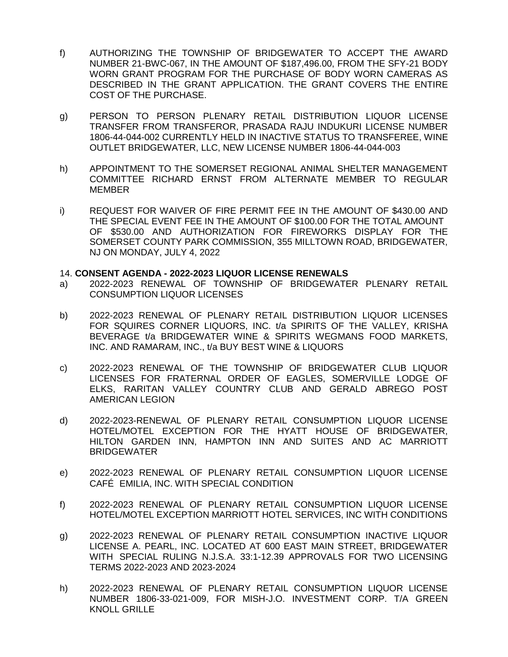- f) AUTHORIZING THE TOWNSHIP OF BRIDGEWATER TO ACCEPT THE AWARD NUMBER 21-BWC-067, IN THE AMOUNT OF \$187,496.00, FROM THE SFY-21 BODY WORN GRANT PROGRAM FOR THE PURCHASE OF BODY WORN CAMERAS AS DESCRIBED IN THE GRANT APPLICATION. THE GRANT COVERS THE ENTIRE COST OF THE PURCHASE.
- g) PERSON TO PERSON PLENARY RETAIL DISTRIBUTION LIQUOR LICENSE TRANSFER FROM TRANSFEROR, PRASADA RAJU INDUKURI LICENSE NUMBER 1806-44-044-002 CURRENTLY HELD IN INACTIVE STATUS TO TRANSFEREE, WINE OUTLET BRIDGEWATER, LLC, NEW LICENSE NUMBER 1806-44-044-003
- h) APPOINTMENT TO THE SOMERSET REGIONAL ANIMAL SHELTER MANAGEMENT COMMITTEE RICHARD ERNST FROM ALTERNATE MEMBER TO REGULAR MEMBER
- i) REQUEST FOR WAIVER OF FIRE PERMIT FEE IN THE AMOUNT OF \$430.00 AND THE SPECIAL EVENT FEE IN THE AMOUNT OF \$100.00 FOR THE TOTAL AMOUNT OF \$530.00 AND AUTHORIZATION FOR FIREWORKS DISPLAY FOR THE SOMERSET COUNTY PARK COMMISSION, 355 MILLTOWN ROAD, BRIDGEWATER, NJ ON MONDAY, JULY 4, 2022

#### 14. **CONSENT AGENDA - 2022-2023 LIQUOR LICENSE RENEWALS**

- a) 2022-2023 RENEWAL OF TOWNSHIP OF BRIDGEWATER PLENARY RETAIL CONSUMPTION LIQUOR LICENSES
- b) 2022-2023 RENEWAL OF PLENARY RETAIL DISTRIBUTION LIQUOR LICENSES FOR SQUIRES CORNER LIQUORS, INC. t/a SPIRITS OF THE VALLEY, KRISHA BEVERAGE t/a BRIDGEWATER WINE & SPIRITS WEGMANS FOOD MARKETS, INC. AND RAMARAM, INC., t/a BUY BEST WINE & LIQUORS
- c) 2022-2023 RENEWAL OF THE TOWNSHIP OF BRIDGEWATER CLUB LIQUOR LICENSES FOR FRATERNAL ORDER OF EAGLES, SOMERVILLE LODGE OF ELKS, RARITAN VALLEY COUNTRY CLUB AND GERALD ABREGO POST AMERICAN LEGION
- d) 2022-2023-RENEWAL OF PLENARY RETAIL CONSUMPTION LIQUOR LICENSE HOTEL/MOTEL EXCEPTION FOR THE HYATT HOUSE OF BRIDGEWATER, HILTON GARDEN INN, HAMPTON INN AND SUITES AND AC MARRIOTT BRIDGEWATER
- e) 2022-2023 RENEWAL OF PLENARY RETAIL CONSUMPTION LIQUOR LICENSE CAFÉ EMILIA, INC. WITH SPECIAL CONDITION
- f) 2022-2023 RENEWAL OF PLENARY RETAIL CONSUMPTION LIQUOR LICENSE HOTEL/MOTEL EXCEPTION MARRIOTT HOTEL SERVICES, INC WITH CONDITIONS
- g) 2022-2023 RENEWAL OF PLENARY RETAIL CONSUMPTION INACTIVE LIQUOR LICENSE A. PEARL, INC. LOCATED AT 600 EAST MAIN STREET, BRIDGEWATER WITH SPECIAL RULING N.J.S.A. 33:1-12.39 APPROVALS FOR TWO LICENSING TERMS 2022-2023 AND 2023-2024
- h) 2022-2023 RENEWAL OF PLENARY RETAIL CONSUMPTION LIQUOR LICENSE NUMBER 1806-33-021-009, FOR MISH-J.O. INVESTMENT CORP. T/A GREEN KNOLL GRILLE